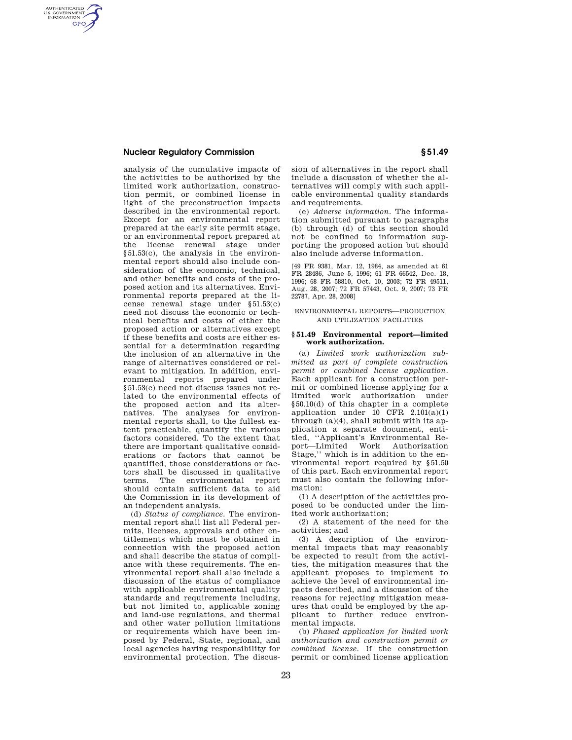# **Nuclear Regulatory Commission § 51.49**

AUTHENTICATED<br>U.S. GOVERNMENT<br>INFORMATION **GPO** 

> analysis of the cumulative impacts of the activities to be authorized by the limited work authorization, construction permit, or combined license in light of the preconstruction impacts described in the environmental report. Except for an environmental report prepared at the early site permit stage, or an environmental report prepared at the license renewal stage under §51.53(c), the analysis in the environmental report should also include consideration of the economic, technical and other benefits and costs of the proposed action and its alternatives. Environmental reports prepared at the license renewal stage under §51.53(c) need not discuss the economic or technical benefits and costs of either the proposed action or alternatives except if these benefits and costs are either essential for a determination regarding the inclusion of an alternative in the range of alternatives considered or relevant to mitigation. In addition, environmental reports prepared under §51.53(c) need not discuss issues not related to the environmental effects of the proposed action and its alternatives. The analyses for environmental reports shall, to the fullest extent practicable, quantify the various factors considered. To the extent that there are important qualitative considerations or factors that cannot be quantified, those considerations or factors shall be discussed in qualitative terms. The environmental report should contain sufficient data to aid the Commission in its development of an independent analysis.

> (d) *Status of compliance.* The environmental report shall list all Federal permits, licenses, approvals and other entitlements which must be obtained in connection with the proposed action and shall describe the status of compliance with these requirements. The environmental report shall also include a discussion of the status of compliance with applicable environmental quality standards and requirements including, but not limited to, applicable zoning and land-use regulations, and thermal and other water pollution limitations or requirements which have been imposed by Federal, State, regional, and local agencies having responsibility for environmental protection. The discus

sion of alternatives in the report shall include a discussion of whether the alternatives will comply with such applicable environmental quality standards and requirements.

(e) *Adverse information.* The information submitted pursuant to paragraphs (b) through (d) of this section should not be confined to information supporting the proposed action but should also include adverse information.

[49 FR 9381, Mar. 12, 1984, as amended at 61 FR 28486, June 5, 1996; 61 FR 66542, Dec. 18, 1996; 68 FR 58810, Oct. 10, 2003; 72 FR 49511, Aug. 28, 2007; 72 FR 57443, Oct. 9, 2007; 73 FR 22787, Apr. 28, 2008]

### ENVIRONMENTAL REPORTS—PRODUCTION AND UTILIZATION FACILITIES

### **§ 51.49 Environmental report—limited work authorization.**

(a) *Limited work authorization submitted as part of complete construction permit or combined license application*. Each applicant for a construction permit or combined license applying for a limited work authorization under §50.10(d) of this chapter in a complete application under  $10$  CFR  $2.101(a)(1)$ through (a)(4), shall submit with its application a separate document, entitled, ''Applicant's Environmental Report—Limited Work Authorization Stage,'' which is in addition to the environmental report required by §51.50 of this part. Each environmental report must also contain the following information:

(1) A description of the activities proposed to be conducted under the limited work authorization;

(2) A statement of the need for the activities; and

(3) A description of the environmental impacts that may reasonably be expected to result from the activities, the mitigation measures that the applicant proposes to implement to achieve the level of environmental impacts described, and a discussion of the reasons for rejecting mitigation measures that could be employed by the applicant to further reduce environmental impacts.

(b) *Phased application for limited work authorization and construction permit or combined license*. If the construction permit or combined license application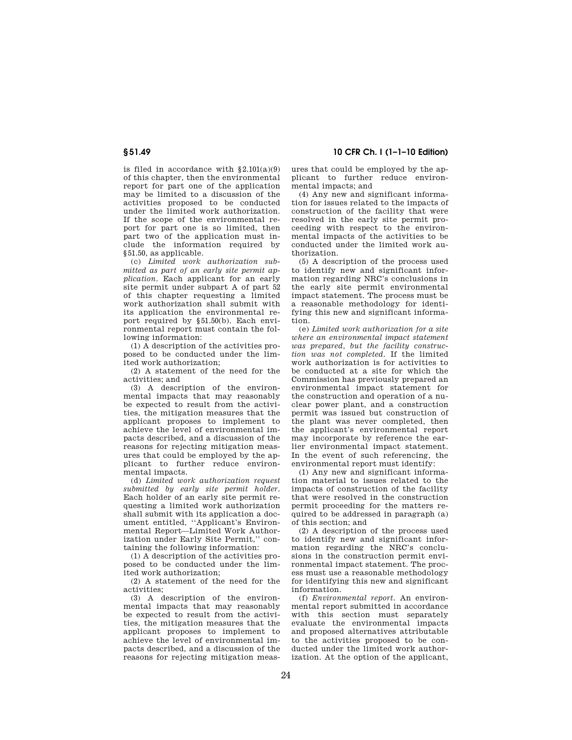is filed in accordance with §2.101(a)(9) of this chapter, then the environmental report for part one of the application may be limited to a discussion of the activities proposed to be conducted under the limited work authorization. If the scope of the environmental report for part one is so limited, then part two of the application must include the information required by §51.50, as applicable.

(c) *Limited work authorization submitted as part of an early site permit application*. Each applicant for an early site permit under subpart A of part 52 of this chapter requesting a limited work authorization shall submit with its application the environmental report required by §51.50(b). Each environmental report must contain the following information:

(1) A description of the activities proposed to be conducted under the limited work authorization;

(2) A statement of the need for the activities; and

(3) A description of the environmental impacts that may reasonably be expected to result from the activities, the mitigation measures that the applicant proposes to implement to achieve the level of environmental impacts described, and a discussion of the reasons for rejecting mitigation measures that could be employed by the applicant to further reduce environmental impacts.

(d) *Limited work authorization request submitted by early site permit holder*. Each holder of an early site permit requesting a limited work authorization shall submit with its application a document entitled, ''Applicant's Environmental Report—Limited Work Authorization under Early Site Permit,'' containing the following information:

(1) A description of the activities proposed to be conducted under the limited work authorization;

(2) A statement of the need for the activities;

(3) A description of the environmental impacts that may reasonably be expected to result from the activities, the mitigation measures that the applicant proposes to implement to achieve the level of environmental impacts described, and a discussion of the reasons for rejecting mitigation meas-

**§ 51.49 10 CFR Ch. I (1–1–10 Edition)** 

ures that could be employed by the applicant to further reduce environmental impacts; and

(4) Any new and significant information for issues related to the impacts of construction of the facility that were resolved in the early site permit proceeding with respect to the environmental impacts of the activities to be conducted under the limited work authorization.

(5) A description of the process used to identify new and significant information regarding NRC's conclusions in the early site permit environmental impact statement. The process must be a reasonable methodology for identifying this new and significant information.

(e) *Limited work authorization for a site where an environmental impact statement was prepared, but the facility construction was not completed*. If the limited work authorization is for activities to be conducted at a site for which the Commission has previously prepared an environmental impact statement for the construction and operation of a nuclear power plant, and a construction permit was issued but construction of the plant was never completed, then the applicant's environmental report may incorporate by reference the earlier environmental impact statement. In the event of such referencing, the environmental report must identify:

(1) Any new and significant information material to issues related to the impacts of construction of the facility that were resolved in the construction permit proceeding for the matters required to be addressed in paragraph (a) of this section; and

(2) A description of the process used to identify new and significant information regarding the NRC's conclusions in the construction permit environmental impact statement. The process must use a reasonable methodology for identifying this new and significant information.

(f) *Environmental report*. An environmental report submitted in accordance with this section must separately evaluate the environmental impacts and proposed alternatives attributable to the activities proposed to be conducted under the limited work authorization. At the option of the applicant,